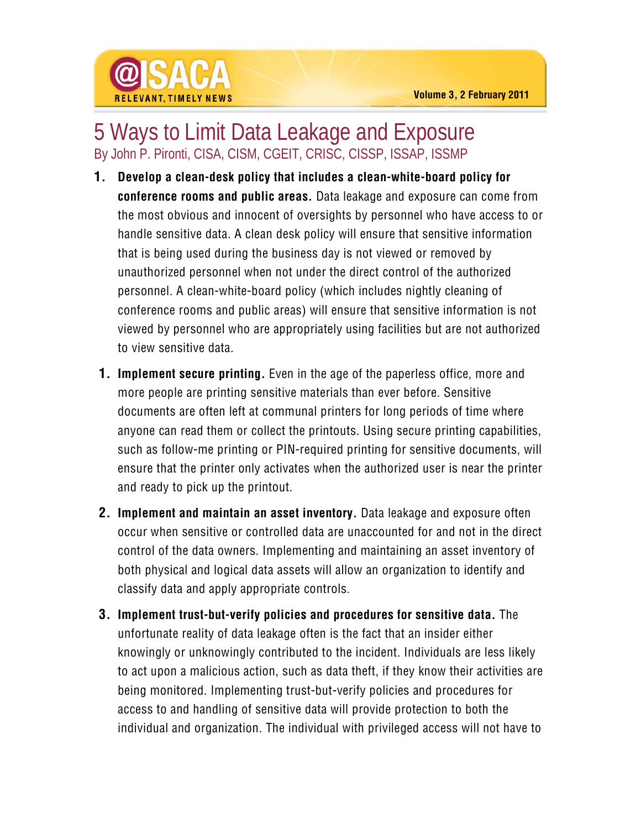

## 5 Ways to Limit Data Leakage and Exposure By John P. Pironti, CISA, CISM, CGEIT, CRISC, CISSP, ISSAP, ISSMP

- **1. Develop a clean-desk policy that includes a clean-white-board policy for conference rooms and public areas.** Data leakage and exposure can come from the most obvious and innocent of oversights by personnel who have access to or handle sensitive data. A clean desk policy will ensure that sensitive information that is being used during the business day is not viewed or removed by unauthorized personnel when not under the direct control of the authorized personnel. A clean-white-board policy (which includes nightly cleaning of conference rooms and public areas) will ensure that sensitive information is not viewed by personnel who are appropriately using facilities but are not authorized to view sensitive data.
- **1. Implement secure printing.** Even in the age of the paperless office, more and more people are printing sensitive materials than ever before. Sensitive documents are often left at communal printers for long periods of time where anyone can read them or collect the printouts. Using secure printing capabilities, such as follow-me printing or PIN-required printing for sensitive documents, will ensure that the printer only activates when the authorized user is near the printer and ready to pick up the printout.
- **2. Implement and maintain an asset inventory.** Data leakage and exposure often occur when sensitive or controlled data are unaccounted for and not in the direct control of the data owners. Implementing and maintaining an asset inventory of both physical and logical data assets will allow an organization to identify and classify data and apply appropriate controls.
- **3. Implement trust-but-verify policies and procedures for sensitive data.** The unfortunate reality of data leakage often is the fact that an insider either knowingly or unknowingly contributed to the incident. Individuals are less likely to act upon a malicious action, such as data theft, if they know their activities are being monitored. Implementing trust-but-verify policies and procedures for access to and handling of sensitive data will provide protection to both the individual and organization. The individual with privileged access will not have to